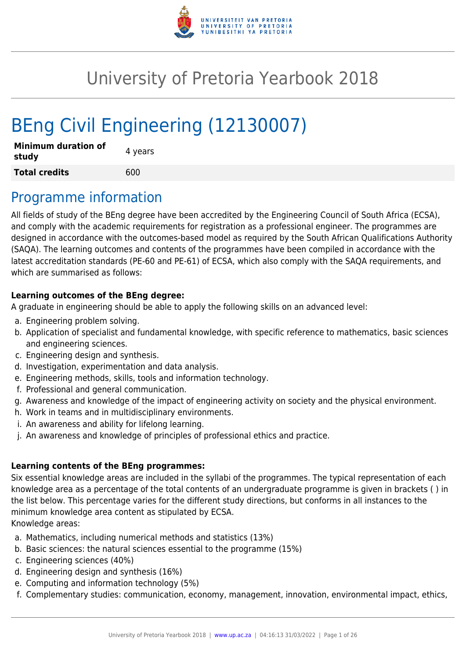

# University of Pretoria Yearbook 2018

# BEng Civil Engineering (12130007)

| <b>Minimum duration of</b><br>study | 4 years |
|-------------------------------------|---------|
| <b>Total credits</b>                | 600     |

## Programme information

All fields of study of the BEng degree have been accredited by the Engineering Council of South Africa (ECSA), and comply with the academic requirements for registration as a professional engineer. The programmes are designed in accordance with the outcomes-based model as required by the South African Qualifications Authority (SAQA). The learning outcomes and contents of the programmes have been compiled in accordance with the latest accreditation standards (PE-60 and PE-61) of ECSA, which also comply with the SAQA requirements, and which are summarised as follows:

#### **Learning outcomes of the BEng degree:**

A graduate in engineering should be able to apply the following skills on an advanced level:

- a. Engineering problem solving.
- b. Application of specialist and fundamental knowledge, with specific reference to mathematics, basic sciences and engineering sciences.
- c. Engineering design and synthesis.
- d. Investigation, experimentation and data analysis.
- e. Engineering methods, skills, tools and information technology.
- f. Professional and general communication.
- g. Awareness and knowledge of the impact of engineering activity on society and the physical environment.
- h. Work in teams and in multidisciplinary environments.
- i. An awareness and ability for lifelong learning.
- j. An awareness and knowledge of principles of professional ethics and practice.

#### **Learning contents of the BEng programmes:**

Six essential knowledge areas are included in the syllabi of the programmes. The typical representation of each knowledge area as a percentage of the total contents of an undergraduate programme is given in brackets ( ) in the list below. This percentage varies for the different study directions, but conforms in all instances to the minimum knowledge area content as stipulated by ECSA. Knowledge areas:

- a. Mathematics, including numerical methods and statistics (13%)
- b. Basic sciences: the natural sciences essential to the programme (15%)
- c. Engineering sciences (40%)
- d. Engineering design and synthesis (16%)
- e. Computing and information technology (5%)
- f. Complementary studies: communication, economy, management, innovation, environmental impact, ethics,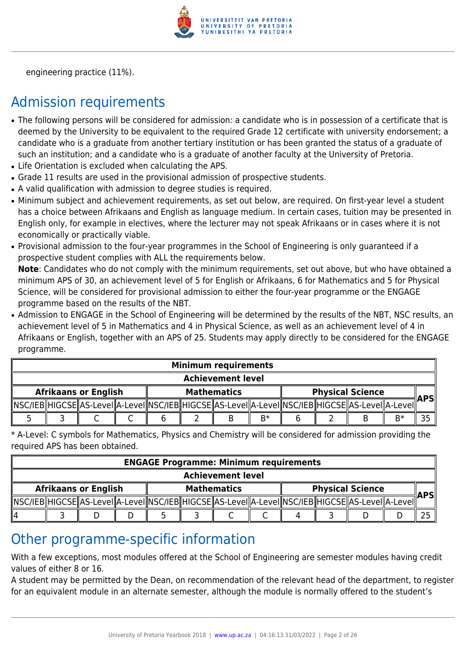

engineering practice (11%).

## Admission requirements

- The following persons will be considered for admission: a candidate who is in possession of a certificate that is deemed by the University to be equivalent to the required Grade 12 certificate with university endorsement; a candidate who is a graduate from another tertiary institution or has been granted the status of a graduate of such an institution; and a candidate who is a graduate of another faculty at the University of Pretoria.
- Life Orientation is excluded when calculating the APS.
- Grade 11 results are used in the provisional admission of prospective students.
- A valid qualification with admission to degree studies is required.
- Minimum subject and achievement requirements, as set out below, are required. On first-year level a student has a choice between Afrikaans and English as language medium. In certain cases, tuition may be presented in English only, for example in electives, where the lecturer may not speak Afrikaans or in cases where it is not economically or practically viable.
- Provisional admission to the four-year programmes in the School of Engineering is only guaranteed if a prospective student complies with ALL the requirements below.

**Note**: Candidates who do not comply with the minimum requirements, set out above, but who have obtained a minimum APS of 30, an achievement level of 5 for English or Afrikaans, 6 for Mathematics and 5 for Physical Science, will be considered for provisional admission to either the four-year programme or the ENGAGE programme based on the results of the NBT.

• Admission to ENGAGE in the School of Engineering will be determined by the results of the NBT, NSC results, an achievement level of 5 in Mathematics and 4 in Physical Science, as well as an achievement level of 4 in Afrikaans or English, together with an APS of 25. Students may apply directly to be considered for the ENGAGE programme.

|                             | <b>Minimum requirements</b> |  |  |                    |  |                                                                                                            |                         |  |  |  |            |  |
|-----------------------------|-----------------------------|--|--|--------------------|--|------------------------------------------------------------------------------------------------------------|-------------------------|--|--|--|------------|--|
|                             | <b>Achievement level</b>    |  |  |                    |  |                                                                                                            |                         |  |  |  |            |  |
| <b>Afrikaans or English</b> |                             |  |  | <b>Mathematics</b> |  |                                                                                                            | <b>Physical Science</b> |  |  |  | <b>APS</b> |  |
|                             |                             |  |  |                    |  | NSC/IEB  HIGCSE  AS-LeveI  A-LeveI  NSC/IEB  HIGCSE  AS-LeveI  A-LeveI  NSC/IEB  HIGCSE  AS-LeveI  A-LeveI |                         |  |  |  |            |  |
|                             |                             |  |  |                    |  |                                                                                                            | $R*$                    |  |  |  | B*         |  |

\* A-Level: C symbols for Mathematics, Physics and Chemistry will be considered for admission providing the required APS has been obtained.

| <b>ENGAGE Programme: Minimum requirements</b> |  |  |  |                    |  |                                                                                                            |                         |  |  |  |            |  |
|-----------------------------------------------|--|--|--|--------------------|--|------------------------------------------------------------------------------------------------------------|-------------------------|--|--|--|------------|--|
| <b>Achievement level</b>                      |  |  |  |                    |  |                                                                                                            |                         |  |  |  |            |  |
| <b>Afrikaans or English</b>                   |  |  |  | <b>Mathematics</b> |  |                                                                                                            | <b>Physical Science</b> |  |  |  | <b>APS</b> |  |
|                                               |  |  |  |                    |  | NSC/IEB  HIGCSE  AS-LeveI  A-LeveI  NSC/IEB  HIGCSE  AS-LeveI  A-LeveI  NSC/IEB  HIGCSE  AS-LeveI  A-LeveI |                         |  |  |  |            |  |
| 114                                           |  |  |  |                    |  |                                                                                                            |                         |  |  |  |            |  |

## Other programme-specific information

With a few exceptions, most modules offered at the School of Engineering are semester modules having credit values of either 8 or 16.

A student may be permitted by the Dean, on recommendation of the relevant head of the department, to register for an equivalent module in an alternate semester, although the module is normally offered to the student's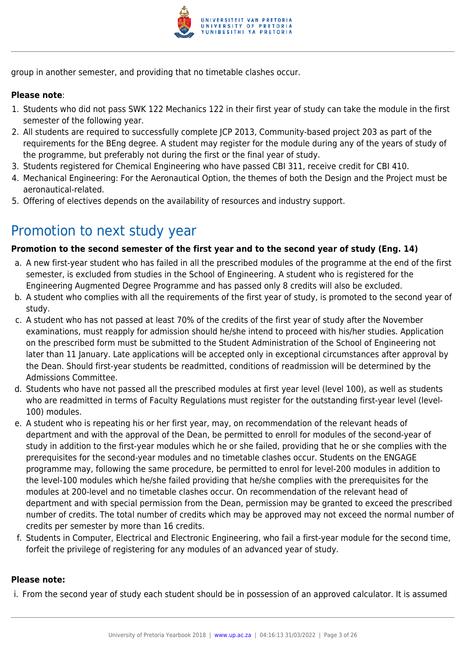

group in another semester, and providing that no timetable clashes occur.

#### **Please note**:

- 1. Students who did not pass SWK 122 Mechanics 122 in their first year of study can take the module in the first semester of the following year.
- 2. All students are required to successfully complete JCP 2013, Community-based project 203 as part of the requirements for the BEng degree. A student may register for the module during any of the years of study of the programme, but preferably not during the first or the final year of study.
- 3. Students registered for Chemical Engineering who have passed CBI 311, receive credit for CBI 410.
- 4. Mechanical Engineering: For the Aeronautical Option, the themes of both the Design and the Project must be aeronautical-related.
- 5. Offering of electives depends on the availability of resources and industry support.

## Promotion to next study year

#### **Promotion to the second semester of the first year and to the second year of study (Eng. 14)**

- a. A new first-year student who has failed in all the prescribed modules of the programme at the end of the first semester, is excluded from studies in the School of Engineering. A student who is registered for the Engineering Augmented Degree Programme and has passed only 8 credits will also be excluded.
- b. A student who complies with all the requirements of the first year of study, is promoted to the second year of study.
- c. A student who has not passed at least 70% of the credits of the first year of study after the November examinations, must reapply for admission should he/she intend to proceed with his/her studies. Application on the prescribed form must be submitted to the Student Administration of the School of Engineering not later than 11 January. Late applications will be accepted only in exceptional circumstances after approval by the Dean. Should first-year students be readmitted, conditions of readmission will be determined by the Admissions Committee.
- d. Students who have not passed all the prescribed modules at first year level (level 100), as well as students who are readmitted in terms of Faculty Regulations must register for the outstanding first-year level (level-100) modules.
- e. A student who is repeating his or her first year, may, on recommendation of the relevant heads of department and with the approval of the Dean, be permitted to enroll for modules of the second-year of study in addition to the first-year modules which he or she failed, providing that he or she complies with the prerequisites for the second-year modules and no timetable clashes occur. Students on the ENGAGE programme may, following the same procedure, be permitted to enrol for level-200 modules in addition to the level-100 modules which he/she failed providing that he/she complies with the prerequisites for the modules at 200-level and no timetable clashes occur. On recommendation of the relevant head of department and with special permission from the Dean, permission may be granted to exceed the prescribed number of credits. The total number of credits which may be approved may not exceed the normal number of credits per semester by more than 16 credits.
- f. Students in Computer, Electrical and Electronic Engineering, who fail a first-year module for the second time, forfeit the privilege of registering for any modules of an advanced year of study.

#### **Please note:**

i. From the second year of study each student should be in possession of an approved calculator. It is assumed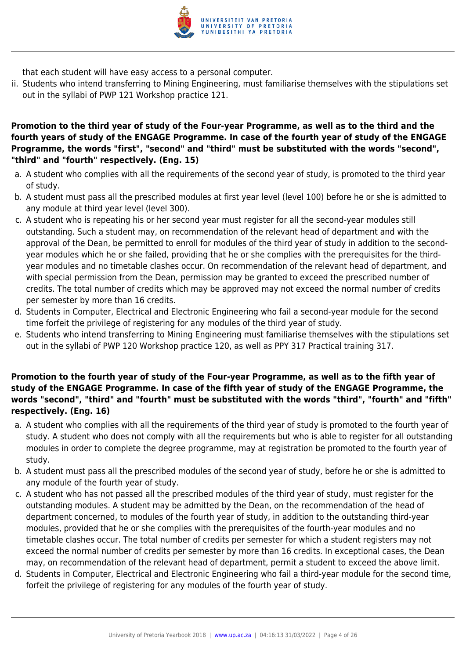

that each student will have easy access to a personal computer.

ii. Students who intend transferring to Mining Engineering, must familiarise themselves with the stipulations set out in the syllabi of PWP 121 Workshop practice 121.

#### **Promotion to the third year of study of the Four-year Programme, as well as to the third and the fourth years of study of the ENGAGE Programme. In case of the fourth year of study of the ENGAGE Programme, the words "first", "second" and "third" must be substituted with the words "second", "third" and "fourth" respectively. (Eng. 15)**

- a. A student who complies with all the requirements of the second year of study, is promoted to the third year of study.
- b. A student must pass all the prescribed modules at first year level (level 100) before he or she is admitted to any module at third year level (level 300).
- c. A student who is repeating his or her second year must register for all the second-year modules still outstanding. Such a student may, on recommendation of the relevant head of department and with the approval of the Dean, be permitted to enroll for modules of the third year of study in addition to the secondyear modules which he or she failed, providing that he or she complies with the prerequisites for the thirdyear modules and no timetable clashes occur. On recommendation of the relevant head of department, and with special permission from the Dean, permission may be granted to exceed the prescribed number of credits. The total number of credits which may be approved may not exceed the normal number of credits per semester by more than 16 credits.
- d. Students in Computer, Electrical and Electronic Engineering who fail a second-year module for the second time forfeit the privilege of registering for any modules of the third year of study.
- e. Students who intend transferring to Mining Engineering must familiarise themselves with the stipulations set out in the syllabi of PWP 120 Workshop practice 120, as well as PPY 317 Practical training 317.

#### **Promotion to the fourth year of study of the Four-year Programme, as well as to the fifth year of study of the ENGAGE Programme. In case of the fifth year of study of the ENGAGE Programme, the words "second", "third" and "fourth" must be substituted with the words "third", "fourth" and "fifth" respectively. (Eng. 16)**

- a. A student who complies with all the requirements of the third year of study is promoted to the fourth year of study. A student who does not comply with all the requirements but who is able to register for all outstanding modules in order to complete the degree programme, may at registration be promoted to the fourth year of study.
- b. A student must pass all the prescribed modules of the second year of study, before he or she is admitted to any module of the fourth year of study.
- c. A student who has not passed all the prescribed modules of the third year of study, must register for the outstanding modules. A student may be admitted by the Dean, on the recommendation of the head of department concerned, to modules of the fourth year of study, in addition to the outstanding third-year modules, provided that he or she complies with the prerequisites of the fourth-year modules and no timetable clashes occur. The total number of credits per semester for which a student registers may not exceed the normal number of credits per semester by more than 16 credits. In exceptional cases, the Dean may, on recommendation of the relevant head of department, permit a student to exceed the above limit.
- d. Students in Computer, Electrical and Electronic Engineering who fail a third-year module for the second time, forfeit the privilege of registering for any modules of the fourth year of study.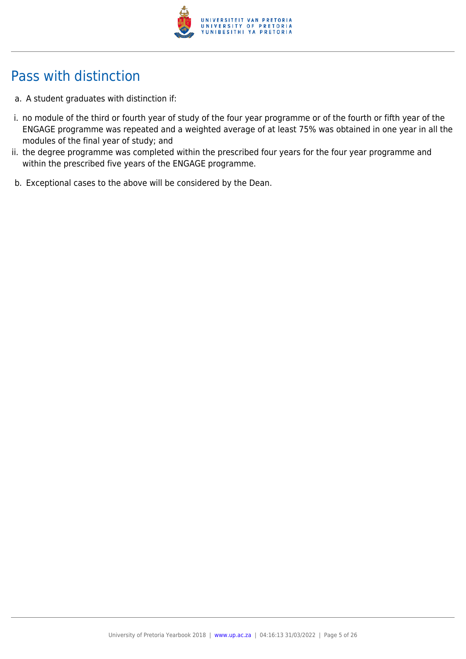

## Pass with distinction

- a. A student graduates with distinction if:
- i. no module of the third or fourth year of study of the four year programme or of the fourth or fifth year of the ENGAGE programme was repeated and a weighted average of at least 75% was obtained in one year in all the modules of the final year of study; and
- ii. the degree programme was completed within the prescribed four years for the four year programme and within the prescribed five years of the ENGAGE programme.
- b. Exceptional cases to the above will be considered by the Dean.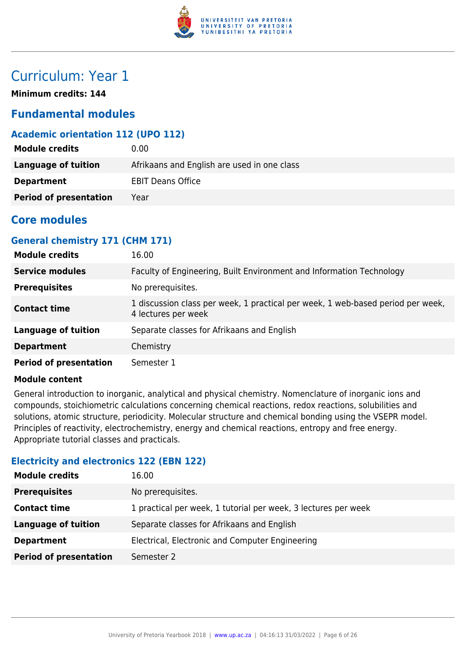

## Curriculum: Year 1

**Minimum credits: 144**

## **Fundamental modules**

## **Academic orientation 112 (UPO 112)**

| <b>Module credits</b>         | 0.00                                        |
|-------------------------------|---------------------------------------------|
| Language of tuition           | Afrikaans and English are used in one class |
| <b>Department</b>             | <b>EBIT Deans Office</b>                    |
| <b>Period of presentation</b> | Year                                        |

## **Core modules**

## **General chemistry 171 (CHM 171)**

| <b>Module credits</b>         | 16.00                                                                                                  |
|-------------------------------|--------------------------------------------------------------------------------------------------------|
| <b>Service modules</b>        | Faculty of Engineering, Built Environment and Information Technology                                   |
| <b>Prerequisites</b>          | No prerequisites.                                                                                      |
| <b>Contact time</b>           | 1 discussion class per week, 1 practical per week, 1 web-based period per week,<br>4 lectures per week |
| <b>Language of tuition</b>    | Separate classes for Afrikaans and English                                                             |
| <b>Department</b>             | Chemistry                                                                                              |
| <b>Period of presentation</b> | Semester 1                                                                                             |

#### **Module content**

General introduction to inorganic, analytical and physical chemistry. Nomenclature of inorganic ions and compounds, stoichiometric calculations concerning chemical reactions, redox reactions, solubilities and solutions, atomic structure, periodicity. Molecular structure and chemical bonding using the VSEPR model. Principles of reactivity, electrochemistry, energy and chemical reactions, entropy and free energy. Appropriate tutorial classes and practicals.

## **Electricity and electronics 122 (EBN 122)**

| <b>Module credits</b>         | 16.00                                                          |
|-------------------------------|----------------------------------------------------------------|
| <b>Prerequisites</b>          | No prerequisites.                                              |
| <b>Contact time</b>           | 1 practical per week, 1 tutorial per week, 3 lectures per week |
| <b>Language of tuition</b>    | Separate classes for Afrikaans and English                     |
| <b>Department</b>             | Electrical, Electronic and Computer Engineering                |
| <b>Period of presentation</b> | Semester 2                                                     |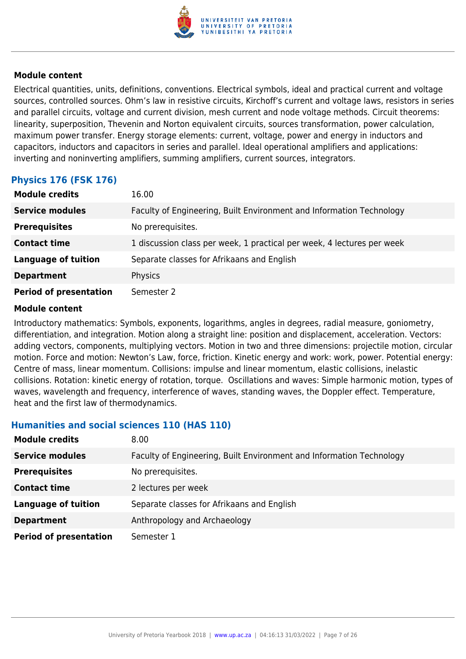

Electrical quantities, units, definitions, conventions. Electrical symbols, ideal and practical current and voltage sources, controlled sources. Ohm's law in resistive circuits, Kirchoff's current and voltage laws, resistors in series and parallel circuits, voltage and current division, mesh current and node voltage methods. Circuit theorems: linearity, superposition, Thevenin and Norton equivalent circuits, sources transformation, power calculation, maximum power transfer. Energy storage elements: current, voltage, power and energy in inductors and capacitors, inductors and capacitors in series and parallel. Ideal operational amplifiers and applications: inverting and noninverting amplifiers, summing amplifiers, current sources, integrators.

## **Physics 176 (FSK 176)**

| <b>Module credits</b>         | 16.00                                                                  |
|-------------------------------|------------------------------------------------------------------------|
| <b>Service modules</b>        | Faculty of Engineering, Built Environment and Information Technology   |
| <b>Prerequisites</b>          | No prerequisites.                                                      |
| <b>Contact time</b>           | 1 discussion class per week, 1 practical per week, 4 lectures per week |
| <b>Language of tuition</b>    | Separate classes for Afrikaans and English                             |
| <b>Department</b>             | Physics                                                                |
| <b>Period of presentation</b> | Semester 2                                                             |

#### **Module content**

Introductory mathematics: Symbols, exponents, logarithms, angles in degrees, radial measure, goniometry, differentiation, and integration. Motion along a straight line: position and displacement, acceleration. Vectors: adding vectors, components, multiplying vectors. Motion in two and three dimensions: projectile motion, circular motion. Force and motion: Newton's Law, force, friction. Kinetic energy and work: work, power. Potential energy: Centre of mass, linear momentum. Collisions: impulse and linear momentum, elastic collisions, inelastic collisions. Rotation: kinetic energy of rotation, torque. Oscillations and waves: Simple harmonic motion, types of waves, wavelength and frequency, interference of waves, standing waves, the Doppler effect. Temperature, heat and the first law of thermodynamics.

#### **Humanities and social sciences 110 (HAS 110)**

| <b>Module credits</b>         | 8.00                                                                 |
|-------------------------------|----------------------------------------------------------------------|
| <b>Service modules</b>        | Faculty of Engineering, Built Environment and Information Technology |
| <b>Prerequisites</b>          | No prerequisites.                                                    |
| <b>Contact time</b>           | 2 lectures per week                                                  |
| <b>Language of tuition</b>    | Separate classes for Afrikaans and English                           |
| <b>Department</b>             | Anthropology and Archaeology                                         |
| <b>Period of presentation</b> | Semester 1                                                           |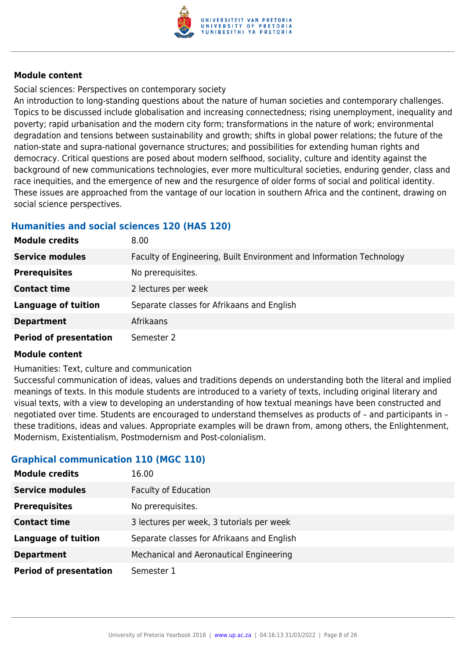

Social sciences: Perspectives on contemporary society

An introduction to long-standing questions about the nature of human societies and contemporary challenges. Topics to be discussed include globalisation and increasing connectedness; rising unemployment, inequality and poverty; rapid urbanisation and the modern city form; transformations in the nature of work; environmental degradation and tensions between sustainability and growth; shifts in global power relations; the future of the nation-state and supra-national governance structures; and possibilities for extending human rights and democracy. Critical questions are posed about modern selfhood, sociality, culture and identity against the background of new communications technologies, ever more multicultural societies, enduring gender, class and race inequities, and the emergence of new and the resurgence of older forms of social and political identity. These issues are approached from the vantage of our location in southern Africa and the continent, drawing on social science perspectives.

## **Humanities and social sciences 120 (HAS 120)**

| <b>Module credits</b>         | 8.00                                                                 |
|-------------------------------|----------------------------------------------------------------------|
| <b>Service modules</b>        | Faculty of Engineering, Built Environment and Information Technology |
| <b>Prerequisites</b>          | No prerequisites.                                                    |
| <b>Contact time</b>           | 2 lectures per week                                                  |
| <b>Language of tuition</b>    | Separate classes for Afrikaans and English                           |
| <b>Department</b>             | Afrikaans                                                            |
| <b>Period of presentation</b> | Semester 2                                                           |

#### **Module content**

Humanities: Text, culture and communication

Successful communication of ideas, values and traditions depends on understanding both the literal and implied meanings of texts. In this module students are introduced to a variety of texts, including original literary and visual texts, with a view to developing an understanding of how textual meanings have been constructed and negotiated over time. Students are encouraged to understand themselves as products of – and participants in – these traditions, ideas and values. Appropriate examples will be drawn from, among others, the Enlightenment, Modernism, Existentialism, Postmodernism and Post-colonialism.

## **Graphical communication 110 (MGC 110)**

| <b>Module credits</b>         | 16.00                                      |
|-------------------------------|--------------------------------------------|
| <b>Service modules</b>        | <b>Faculty of Education</b>                |
| <b>Prerequisites</b>          | No prerequisites.                          |
| <b>Contact time</b>           | 3 lectures per week, 3 tutorials per week  |
| <b>Language of tuition</b>    | Separate classes for Afrikaans and English |
| <b>Department</b>             | Mechanical and Aeronautical Engineering    |
| <b>Period of presentation</b> | Semester 1                                 |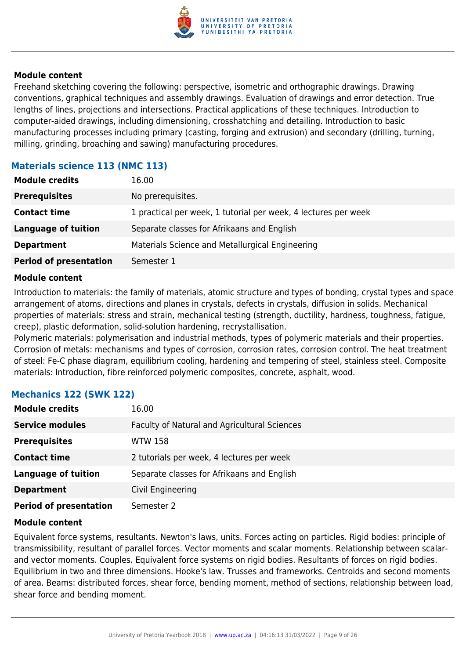

Freehand sketching covering the following: perspective, isometric and orthographic drawings. Drawing conventions, graphical techniques and assembly drawings. Evaluation of drawings and error detection. True lengths of lines, projections and intersections. Practical applications of these techniques. Introduction to computer-aided drawings, including dimensioning, crosshatching and detailing. Introduction to basic manufacturing processes including primary (casting, forging and extrusion) and secondary (drilling, turning, milling, grinding, broaching and sawing) manufacturing procedures.

## **Materials science 113 (NMC 113)**

| <b>Module credits</b>         | 16.00                                                          |
|-------------------------------|----------------------------------------------------------------|
| <b>Prerequisites</b>          | No prerequisites.                                              |
| <b>Contact time</b>           | 1 practical per week, 1 tutorial per week, 4 lectures per week |
| <b>Language of tuition</b>    | Separate classes for Afrikaans and English                     |
| <b>Department</b>             | Materials Science and Metallurgical Engineering                |
| <b>Period of presentation</b> | Semester 1                                                     |

#### **Module content**

Introduction to materials: the family of materials, atomic structure and types of bonding, crystal types and space arrangement of atoms, directions and planes in crystals, defects in crystals, diffusion in solids. Mechanical properties of materials: stress and strain, mechanical testing (strength, ductility, hardness, toughness, fatigue, creep), plastic deformation, solid-solution hardening, recrystallisation.

Polymeric materials: polymerisation and industrial methods, types of polymeric materials and their properties. Corrosion of metals: mechanisms and types of corrosion, corrosion rates, corrosion control. The heat treatment of steel: Fe-C phase diagram, equilibrium cooling, hardening and tempering of steel, stainless steel. Composite materials: Introduction, fibre reinforced polymeric composites, concrete, asphalt, wood.

| <b>Module credits</b>         | 16.00                                        |
|-------------------------------|----------------------------------------------|
| <b>Service modules</b>        | Faculty of Natural and Agricultural Sciences |
| <b>Prerequisites</b>          | <b>WTW 158</b>                               |
| <b>Contact time</b>           | 2 tutorials per week, 4 lectures per week    |
| <b>Language of tuition</b>    | Separate classes for Afrikaans and English   |
| <b>Department</b>             | Civil Engineering                            |
| <b>Period of presentation</b> | Semester 2                                   |

#### **Mechanics 122 (SWK 122)**

#### **Module content**

Equivalent force systems, resultants. Newton's laws, units. Forces acting on particles. Rigid bodies: principle of transmissibility, resultant of parallel forces. Vector moments and scalar moments. Relationship between scalarand vector moments. Couples. Equivalent force systems on rigid bodies. Resultants of forces on rigid bodies. Equilibrium in two and three dimensions. Hooke's law. Trusses and frameworks. Centroids and second moments of area. Beams: distributed forces, shear force, bending moment, method of sections, relationship between load, shear force and bending moment.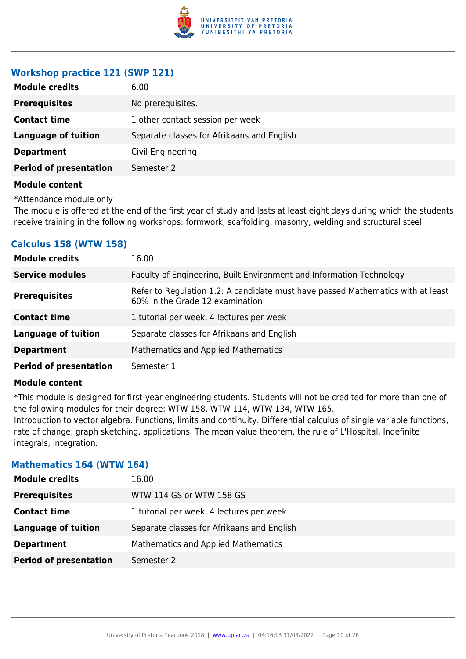

## **Workshop practice 121 (SWP 121)**

| <b>Module credits</b>         | 6.00                                       |
|-------------------------------|--------------------------------------------|
| <b>Prerequisites</b>          | No prerequisites.                          |
| <b>Contact time</b>           | 1 other contact session per week           |
| <b>Language of tuition</b>    | Separate classes for Afrikaans and English |
| <b>Department</b>             | Civil Engineering                          |
| <b>Period of presentation</b> | Semester 2                                 |
|                               |                                            |

#### **Module content**

\*Attendance module only

The module is offered at the end of the first year of study and lasts at least eight days during which the students receive training in the following workshops: formwork, scaffolding, masonry, welding and structural steel.

## **Calculus 158 (WTW 158)**

| <b>Module credits</b>         | 16.00                                                                                                              |
|-------------------------------|--------------------------------------------------------------------------------------------------------------------|
| <b>Service modules</b>        | Faculty of Engineering, Built Environment and Information Technology                                               |
| <b>Prerequisites</b>          | Refer to Regulation 1.2: A candidate must have passed Mathematics with at least<br>60% in the Grade 12 examination |
| <b>Contact time</b>           | 1 tutorial per week, 4 lectures per week                                                                           |
| <b>Language of tuition</b>    | Separate classes for Afrikaans and English                                                                         |
| <b>Department</b>             | <b>Mathematics and Applied Mathematics</b>                                                                         |
| <b>Period of presentation</b> | Semester 1                                                                                                         |

#### **Module content**

\*This module is designed for first-year engineering students. Students will not be credited for more than one of the following modules for their degree: WTW 158, WTW 114, WTW 134, WTW 165. Introduction to vector algebra. Functions, limits and continuity. Differential calculus of single variable functions, rate of change, graph sketching, applications. The mean value theorem, the rule of L'Hospital. Indefinite integrals, integration.

#### **Mathematics 164 (WTW 164)**

| <b>Module credits</b>         | 16.00                                      |
|-------------------------------|--------------------------------------------|
| <b>Prerequisites</b>          | WTW 114 GS or WTW 158 GS                   |
| <b>Contact time</b>           | 1 tutorial per week, 4 lectures per week   |
| <b>Language of tuition</b>    | Separate classes for Afrikaans and English |
| <b>Department</b>             | <b>Mathematics and Applied Mathematics</b> |
| <b>Period of presentation</b> | Semester 2                                 |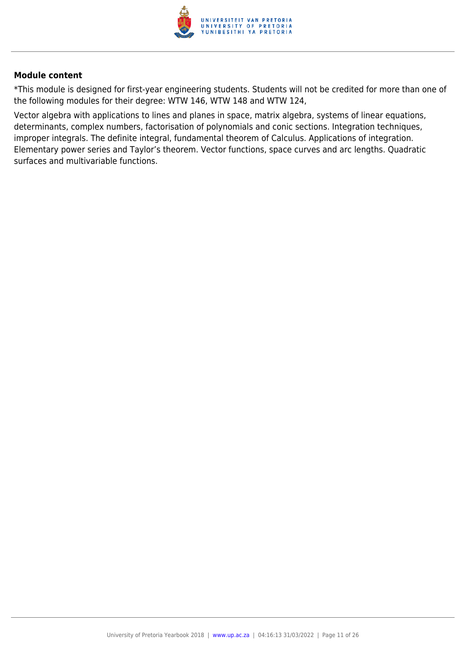

\*This module is designed for first-year engineering students. Students will not be credited for more than one of the following modules for their degree: WTW 146, WTW 148 and WTW 124,

Vector algebra with applications to lines and planes in space, matrix algebra, systems of linear equations, determinants, complex numbers, factorisation of polynomials and conic sections. Integration techniques, improper integrals. The definite integral, fundamental theorem of Calculus. Applications of integration. Elementary power series and Taylor's theorem. Vector functions, space curves and arc lengths. Quadratic surfaces and multivariable functions.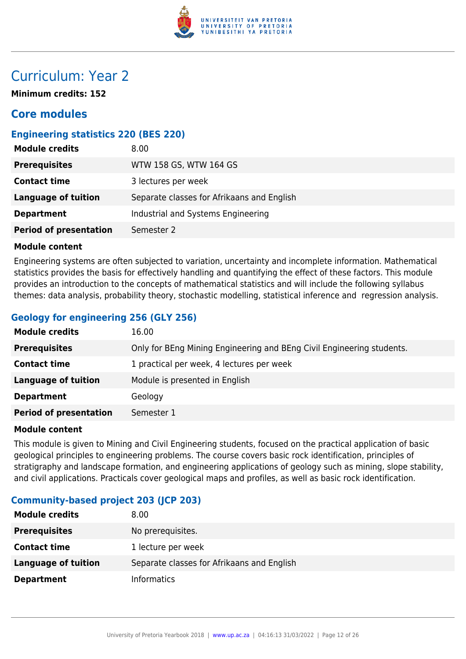

## Curriculum: Year 2

**Minimum credits: 152**

## **Core modules**

## **Engineering statistics 220 (BES 220)**

| <b>Module credits</b>         | 8.00                                       |
|-------------------------------|--------------------------------------------|
| <b>Prerequisites</b>          | WTW 158 GS, WTW 164 GS                     |
| <b>Contact time</b>           | 3 lectures per week                        |
| Language of tuition           | Separate classes for Afrikaans and English |
| <b>Department</b>             | Industrial and Systems Engineering         |
| <b>Period of presentation</b> | Semester 2                                 |

#### **Module content**

Engineering systems are often subjected to variation, uncertainty and incomplete information. Mathematical statistics provides the basis for effectively handling and quantifying the effect of these factors. This module provides an introduction to the concepts of mathematical statistics and will include the following syllabus themes: data analysis, probability theory, stochastic modelling, statistical inference and regression analysis.

## **Geology for engineering 256 (GLY 256)**

| <b>Module credits</b>         | 16.00                                                                 |
|-------------------------------|-----------------------------------------------------------------------|
| <b>Prerequisites</b>          | Only for BEng Mining Engineering and BEng Civil Engineering students. |
| <b>Contact time</b>           | 1 practical per week, 4 lectures per week                             |
| <b>Language of tuition</b>    | Module is presented in English                                        |
| <b>Department</b>             | Geology                                                               |
| <b>Period of presentation</b> | Semester 1                                                            |

#### **Module content**

This module is given to Mining and Civil Engineering students, focused on the practical application of basic geological principles to engineering problems. The course covers basic rock identification, principles of stratigraphy and landscape formation, and engineering applications of geology such as mining, slope stability, and civil applications. Practicals cover geological maps and profiles, as well as basic rock identification.

## **Community-based project 203 (JCP 203)**

| <b>Module credits</b> | 8.00                                       |
|-----------------------|--------------------------------------------|
| <b>Prerequisites</b>  | No prerequisites.                          |
| <b>Contact time</b>   | 1 lecture per week                         |
| Language of tuition   | Separate classes for Afrikaans and English |
| <b>Department</b>     | <b>Informatics</b>                         |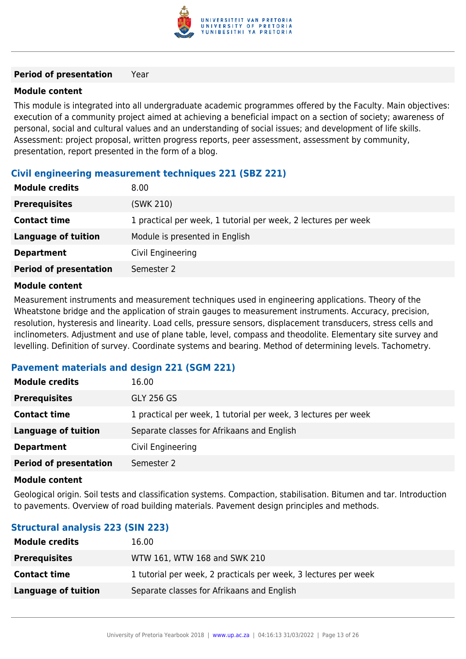

#### **Period of presentation** Year

#### **Module content**

This module is integrated into all undergraduate academic programmes offered by the Faculty. Main objectives: execution of a community project aimed at achieving a beneficial impact on a section of society; awareness of personal, social and cultural values and an understanding of social issues; and development of life skills. Assessment: project proposal, written progress reports, peer assessment, assessment by community, presentation, report presented in the form of a blog.

## **Civil engineering measurement techniques 221 (SBZ 221)**

| <b>Module credits</b>         | 8.00                                                           |
|-------------------------------|----------------------------------------------------------------|
| <b>Prerequisites</b>          | (SWK 210)                                                      |
| <b>Contact time</b>           | 1 practical per week, 1 tutorial per week, 2 lectures per week |
| <b>Language of tuition</b>    | Module is presented in English                                 |
| <b>Department</b>             | Civil Engineering                                              |
| <b>Period of presentation</b> | Semester 2                                                     |
|                               |                                                                |

#### **Module content**

Measurement instruments and measurement techniques used in engineering applications. Theory of the Wheatstone bridge and the application of strain gauges to measurement instruments. Accuracy, precision, resolution, hysteresis and linearity. Load cells, pressure sensors, displacement transducers, stress cells and inclinometers. Adjustment and use of plane table, level, compass and theodolite. Elementary site survey and levelling. Definition of survey. Coordinate systems and bearing. Method of determining levels. Tachometry.

#### **Pavement materials and design 221 (SGM 221)**

| <b>Module credits</b>         | 16.00                                                          |
|-------------------------------|----------------------------------------------------------------|
| <b>Prerequisites</b>          | <b>GLY 256 GS</b>                                              |
| <b>Contact time</b>           | 1 practical per week, 1 tutorial per week, 3 lectures per week |
| <b>Language of tuition</b>    | Separate classes for Afrikaans and English                     |
| <b>Department</b>             | Civil Engineering                                              |
| <b>Period of presentation</b> | Semester 2                                                     |

#### **Module content**

Geological origin. Soil tests and classification systems. Compaction, stabilisation. Bitumen and tar. Introduction to pavements. Overview of road building materials. Pavement design principles and methods.

## **Structural analysis 223 (SIN 223)**

| <b>Module credits</b> | 16.00                                                           |
|-----------------------|-----------------------------------------------------------------|
| <b>Prerequisites</b>  | WTW 161, WTW 168 and SWK 210                                    |
| <b>Contact time</b>   | 1 tutorial per week, 2 practicals per week, 3 lectures per week |
| Language of tuition   | Separate classes for Afrikaans and English                      |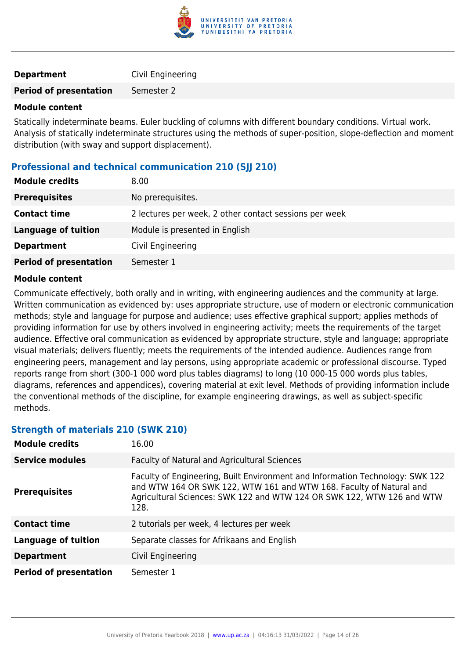

| <b>Department</b> | Civil Engineering |
|-------------------|-------------------|
|                   |                   |

**Period of presentation** Semester 2

#### **Module content**

Statically indeterminate beams. Euler buckling of columns with different boundary conditions. Virtual work. Analysis of statically indeterminate structures using the methods of super-position, slope-deflection and moment distribution (with sway and support displacement).

## **Professional and technical communication 210 (SJJ 210)**

| <b>Module credits</b>         | 8.00                                                   |
|-------------------------------|--------------------------------------------------------|
| <b>Prerequisites</b>          | No prerequisites.                                      |
| <b>Contact time</b>           | 2 lectures per week, 2 other contact sessions per week |
| <b>Language of tuition</b>    | Module is presented in English                         |
| <b>Department</b>             | Civil Engineering                                      |
| <b>Period of presentation</b> | Semester 1                                             |

#### **Module content**

Communicate effectively, both orally and in writing, with engineering audiences and the community at large. Written communication as evidenced by: uses appropriate structure, use of modern or electronic communication methods; style and language for purpose and audience; uses effective graphical support; applies methods of providing information for use by others involved in engineering activity; meets the requirements of the target audience. Effective oral communication as evidenced by appropriate structure, style and language; appropriate visual materials; delivers fluently; meets the requirements of the intended audience. Audiences range from engineering peers, management and lay persons, using appropriate academic or professional discourse. Typed reports range from short (300-1 000 word plus tables diagrams) to long (10 000-15 000 words plus tables, diagrams, references and appendices), covering material at exit level. Methods of providing information include the conventional methods of the discipline, for example engineering drawings, as well as subject-specific methods.

## **Strength of materials 210 (SWK 210)**

| <b>Module credits</b>         | 16.00                                                                                                                                                                                                                                  |
|-------------------------------|----------------------------------------------------------------------------------------------------------------------------------------------------------------------------------------------------------------------------------------|
| <b>Service modules</b>        | Faculty of Natural and Agricultural Sciences                                                                                                                                                                                           |
| <b>Prerequisites</b>          | Faculty of Engineering, Built Environment and Information Technology: SWK 122<br>and WTW 164 OR SWK 122, WTW 161 and WTW 168. Faculty of Natural and<br>Agricultural Sciences: SWK 122 and WTW 124 OR SWK 122, WTW 126 and WTW<br>128. |
| <b>Contact time</b>           | 2 tutorials per week, 4 lectures per week                                                                                                                                                                                              |
| <b>Language of tuition</b>    | Separate classes for Afrikaans and English                                                                                                                                                                                             |
| <b>Department</b>             | Civil Engineering                                                                                                                                                                                                                      |
| <b>Period of presentation</b> | Semester 1                                                                                                                                                                                                                             |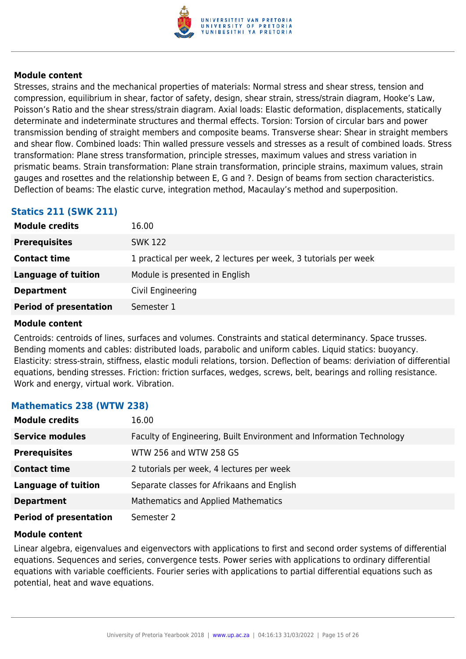

Stresses, strains and the mechanical properties of materials: Normal stress and shear stress, tension and compression, equilibrium in shear, factor of safety, design, shear strain, stress/strain diagram, Hooke's Law, Poisson's Ratio and the shear stress/strain diagram. Axial loads: Elastic deformation, displacements, statically determinate and indeterminate structures and thermal effects. Torsion: Torsion of circular bars and power transmission bending of straight members and composite beams. Transverse shear: Shear in straight members and shear flow. Combined loads: Thin walled pressure vessels and stresses as a result of combined loads. Stress transformation: Plane stress transformation, principle stresses, maximum values and stress variation in prismatic beams. Strain transformation: Plane strain transformation, principle strains, maximum values, strain gauges and rosettes and the relationship between E, G and ?. Design of beams from section characteristics. Deflection of beams: The elastic curve, integration method, Macaulay's method and superposition.

## **Statics 211 (SWK 211)**

| <b>Module credits</b>         | 16.00                                                           |
|-------------------------------|-----------------------------------------------------------------|
| <b>Prerequisites</b>          | <b>SWK 122</b>                                                  |
| <b>Contact time</b>           | 1 practical per week, 2 lectures per week, 3 tutorials per week |
| Language of tuition           | Module is presented in English                                  |
| <b>Department</b>             | Civil Engineering                                               |
| <b>Period of presentation</b> | Semester 1                                                      |

#### **Module content**

Centroids: centroids of lines, surfaces and volumes. Constraints and statical determinancy. Space trusses. Bending moments and cables: distributed loads, parabolic and uniform cables. Liquid statics: buoyancy. Elasticity: stress-strain, stiffness, elastic moduli relations, torsion. Deflection of beams: deriviation of differential equations, bending stresses. Friction: friction surfaces, wedges, screws, belt, bearings and rolling resistance. Work and energy, virtual work. Vibration.

#### **Mathematics 238 (WTW 238)**

| <b>Module credits</b>         | 16.00                                                                |
|-------------------------------|----------------------------------------------------------------------|
| <b>Service modules</b>        | Faculty of Engineering, Built Environment and Information Technology |
| <b>Prerequisites</b>          | WTW 256 and WTW 258 GS                                               |
| <b>Contact time</b>           | 2 tutorials per week, 4 lectures per week                            |
| <b>Language of tuition</b>    | Separate classes for Afrikaans and English                           |
| <b>Department</b>             | <b>Mathematics and Applied Mathematics</b>                           |
| <b>Period of presentation</b> | Semester 2                                                           |

#### **Module content**

Linear algebra, eigenvalues and eigenvectors with applications to first and second order systems of differential equations. Sequences and series, convergence tests. Power series with applications to ordinary differential equations with variable coefficients. Fourier series with applications to partial differential equations such as potential, heat and wave equations.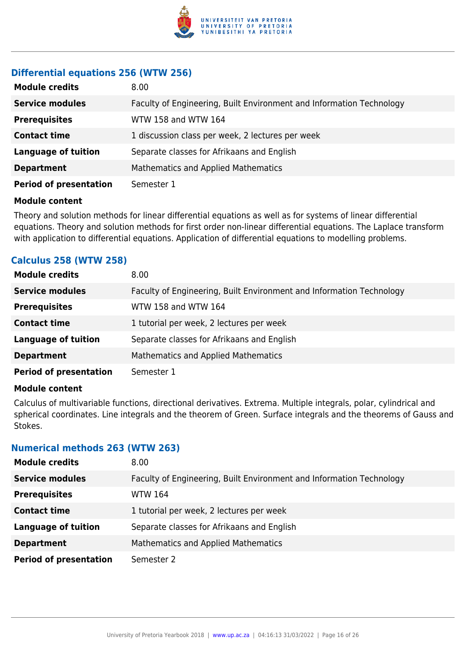

## **Differential equations 256 (WTW 256)**

| <b>Module credits</b>         | 8.00                                                                 |
|-------------------------------|----------------------------------------------------------------------|
| <b>Service modules</b>        | Faculty of Engineering, Built Environment and Information Technology |
| <b>Prerequisites</b>          | WTW 158 and WTW 164                                                  |
| <b>Contact time</b>           | 1 discussion class per week, 2 lectures per week                     |
| <b>Language of tuition</b>    | Separate classes for Afrikaans and English                           |
| <b>Department</b>             | Mathematics and Applied Mathematics                                  |
| <b>Period of presentation</b> | Semester 1                                                           |

#### **Module content**

Theory and solution methods for linear differential equations as well as for systems of linear differential equations. Theory and solution methods for first order non-linear differential equations. The Laplace transform with application to differential equations. Application of differential equations to modelling problems.

## **Calculus 258 (WTW 258)**

| <b>Module credits</b>         | 8.00                                                                 |
|-------------------------------|----------------------------------------------------------------------|
| <b>Service modules</b>        | Faculty of Engineering, Built Environment and Information Technology |
| <b>Prerequisites</b>          | WTW 158 and WTW 164                                                  |
| <b>Contact time</b>           | 1 tutorial per week, 2 lectures per week                             |
| <b>Language of tuition</b>    | Separate classes for Afrikaans and English                           |
| <b>Department</b>             | <b>Mathematics and Applied Mathematics</b>                           |
| <b>Period of presentation</b> | Semester 1                                                           |

#### **Module content**

Calculus of multivariable functions, directional derivatives. Extrema. Multiple integrals, polar, cylindrical and spherical coordinates. Line integrals and the theorem of Green. Surface integrals and the theorems of Gauss and Stokes.

#### **Numerical methods 263 (WTW 263)**

| <b>Module credits</b>         | 8.00                                                                 |
|-------------------------------|----------------------------------------------------------------------|
| <b>Service modules</b>        | Faculty of Engineering, Built Environment and Information Technology |
| <b>Prerequisites</b>          | WTW 164                                                              |
| <b>Contact time</b>           | 1 tutorial per week, 2 lectures per week                             |
| <b>Language of tuition</b>    | Separate classes for Afrikaans and English                           |
| <b>Department</b>             | Mathematics and Applied Mathematics                                  |
| <b>Period of presentation</b> | Semester 2                                                           |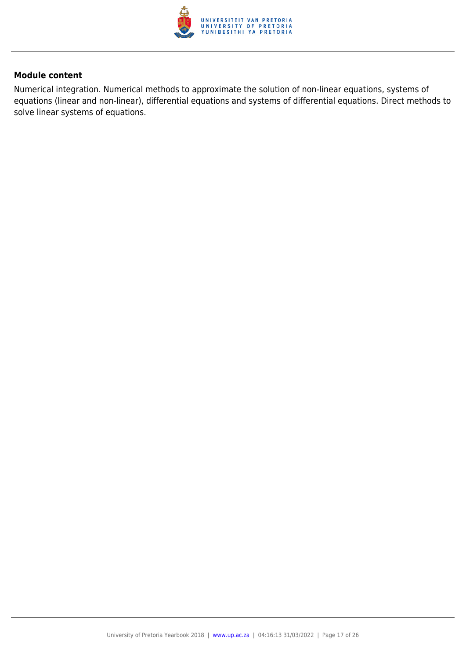

Numerical integration. Numerical methods to approximate the solution of non-linear equations, systems of equations (linear and non-linear), differential equations and systems of differential equations. Direct methods to solve linear systems of equations.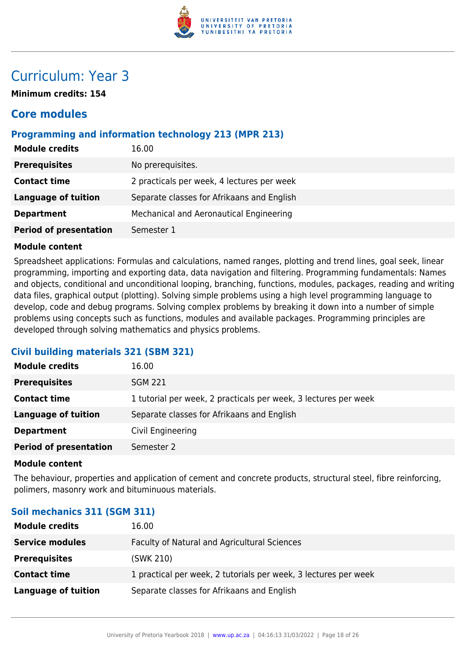

## Curriculum: Year 3

**Minimum credits: 154**

## **Core modules**

## **Programming and information technology 213 (MPR 213)**

| <b>Module credits</b>         | 16.00                                      |
|-------------------------------|--------------------------------------------|
| <b>Prerequisites</b>          | No prerequisites.                          |
| <b>Contact time</b>           | 2 practicals per week, 4 lectures per week |
| <b>Language of tuition</b>    | Separate classes for Afrikaans and English |
| <b>Department</b>             | Mechanical and Aeronautical Engineering    |
| <b>Period of presentation</b> | Semester 1                                 |
|                               |                                            |

#### **Module content**

Spreadsheet applications: Formulas and calculations, named ranges, plotting and trend lines, goal seek, linear programming, importing and exporting data, data navigation and filtering. Programming fundamentals: Names and objects, conditional and unconditional looping, branching, functions, modules, packages, reading and writing data files, graphical output (plotting). Solving simple problems using a high level programming language to develop, code and debug programs. Solving complex problems by breaking it down into a number of simple problems using concepts such as functions, modules and available packages. Programming principles are developed through solving mathematics and physics problems.

## **Civil building materials 321 (SBM 321)**

| <b>Module credits</b>         | 16.00                                                           |
|-------------------------------|-----------------------------------------------------------------|
| <b>Prerequisites</b>          | <b>SGM 221</b>                                                  |
| <b>Contact time</b>           | 1 tutorial per week, 2 practicals per week, 3 lectures per week |
| <b>Language of tuition</b>    | Separate classes for Afrikaans and English                      |
| <b>Department</b>             | Civil Engineering                                               |
| <b>Period of presentation</b> | Semester 2                                                      |

#### **Module content**

The behaviour, properties and application of cement and concrete products, structural steel, fibre reinforcing, polimers, masonry work and bituminuous materials.

## **Soil mechanics 311 (SGM 311)**

| <b>Module credits</b>  | 16.00                                                           |
|------------------------|-----------------------------------------------------------------|
| <b>Service modules</b> | Faculty of Natural and Agricultural Sciences                    |
| <b>Prerequisites</b>   | (SWK 210)                                                       |
| <b>Contact time</b>    | 1 practical per week, 2 tutorials per week, 3 lectures per week |
| Language of tuition    | Separate classes for Afrikaans and English                      |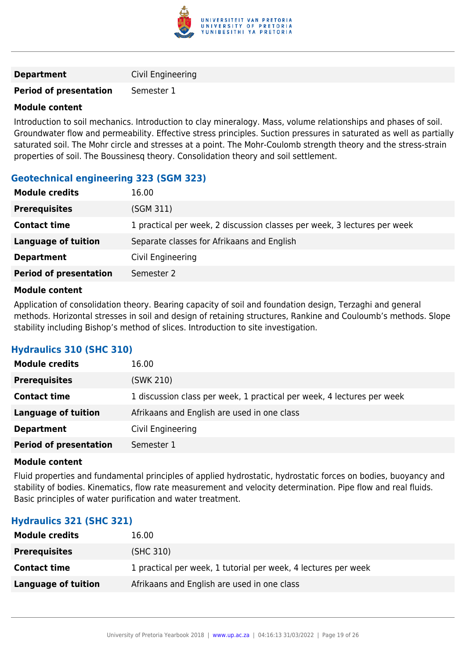

| <b>Department</b> | Civil Engineering |
|-------------------|-------------------|
|-------------------|-------------------|

#### **Period of presentation** Semester 1

#### **Module content**

Introduction to soil mechanics. Introduction to clay mineralogy. Mass, volume relationships and phases of soil. Groundwater flow and permeability. Effective stress principles. Suction pressures in saturated as well as partially saturated soil. The Mohr circle and stresses at a point. The Mohr-Coulomb strength theory and the stress-strain properties of soil. The Boussinesq theory. Consolidation theory and soil settlement.

## **Geotechnical engineering 323 (SGM 323)**

| <b>Module credits</b>         | 16.00                                                                    |
|-------------------------------|--------------------------------------------------------------------------|
| <b>Prerequisites</b>          | (SGM 311)                                                                |
| <b>Contact time</b>           | 1 practical per week, 2 discussion classes per week, 3 lectures per week |
| <b>Language of tuition</b>    | Separate classes for Afrikaans and English                               |
| <b>Department</b>             | Civil Engineering                                                        |
| <b>Period of presentation</b> | Semester 2                                                               |

#### **Module content**

Application of consolidation theory. Bearing capacity of soil and foundation design, Terzaghi and general methods. Horizontal stresses in soil and design of retaining structures, Rankine and Couloumb's methods. Slope stability including Bishop's method of slices. Introduction to site investigation.

## **Hydraulics 310 (SHC 310)**

| <b>Module credits</b>         | 16.00                                                                  |
|-------------------------------|------------------------------------------------------------------------|
| <b>Prerequisites</b>          | (SWK 210)                                                              |
| <b>Contact time</b>           | 1 discussion class per week, 1 practical per week, 4 lectures per week |
| Language of tuition           | Afrikaans and English are used in one class                            |
| <b>Department</b>             | Civil Engineering                                                      |
| <b>Period of presentation</b> | Semester 1                                                             |

#### **Module content**

Fluid properties and fundamental principles of applied hydrostatic, hydrostatic forces on bodies, buoyancy and stability of bodies. Kinematics, flow rate measurement and velocity determination. Pipe flow and real fluids. Basic principles of water purification and water treatment.

#### **Hydraulics 321 (SHC 321)**

| <b>Module credits</b> | 16.00                                                          |
|-----------------------|----------------------------------------------------------------|
| <b>Prerequisites</b>  | (SHC 310)                                                      |
| <b>Contact time</b>   | 1 practical per week, 1 tutorial per week, 4 lectures per week |
| Language of tuition   | Afrikaans and English are used in one class                    |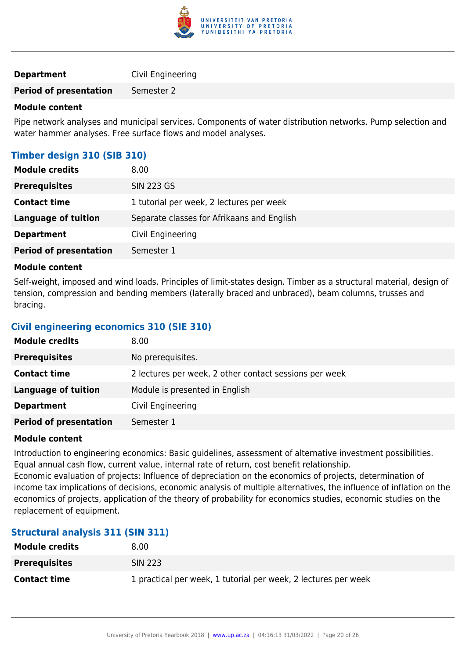

| <b>Department</b> | Civil Engineering |
|-------------------|-------------------|
|-------------------|-------------------|

**Period of presentation** Semester 2

#### **Module content**

Pipe network analyses and municipal services. Components of water distribution networks. Pump selection and water hammer analyses. Free surface flows and model analyses.

## **Timber design 310 (SIB 310)**

| <b>Module credits</b>         | 8.00                                       |
|-------------------------------|--------------------------------------------|
| <b>Prerequisites</b>          | <b>SIN 223 GS</b>                          |
| <b>Contact time</b>           | 1 tutorial per week, 2 lectures per week   |
| <b>Language of tuition</b>    | Separate classes for Afrikaans and English |
| <b>Department</b>             | Civil Engineering                          |
| <b>Period of presentation</b> | Semester 1                                 |

#### **Module content**

Self-weight, imposed and wind loads. Principles of limit-states design. Timber as a structural material, design of tension, compression and bending members (laterally braced and unbraced), beam columns, trusses and bracing.

#### **Civil engineering economics 310 (SIE 310)**

| <b>Module credits</b>         | 8.00 <sub>1</sub>                                      |
|-------------------------------|--------------------------------------------------------|
| <b>Prerequisites</b>          | No prerequisites.                                      |
| <b>Contact time</b>           | 2 lectures per week, 2 other contact sessions per week |
| <b>Language of tuition</b>    | Module is presented in English                         |
| <b>Department</b>             | Civil Engineering                                      |
| <b>Period of presentation</b> | Semester 1                                             |

#### **Module content**

Introduction to engineering economics: Basic guidelines, assessment of alternative investment possibilities. Equal annual cash flow, current value, internal rate of return, cost benefit relationship. Economic evaluation of projects: Influence of depreciation on the economics of projects, determination of income tax implications of decisions, economic analysis of multiple alternatives, the influence of inflation on the economics of projects, application of the theory of probability for economics studies, economic studies on the

## replacement of equipment.

## **Structural analysis 311 (SIN 311)**

| <b>Module credits</b> | 8.00                                                           |
|-----------------------|----------------------------------------------------------------|
| <b>Prerequisites</b>  | <b>SIN 223</b>                                                 |
| <b>Contact time</b>   | 1 practical per week, 1 tutorial per week, 2 lectures per week |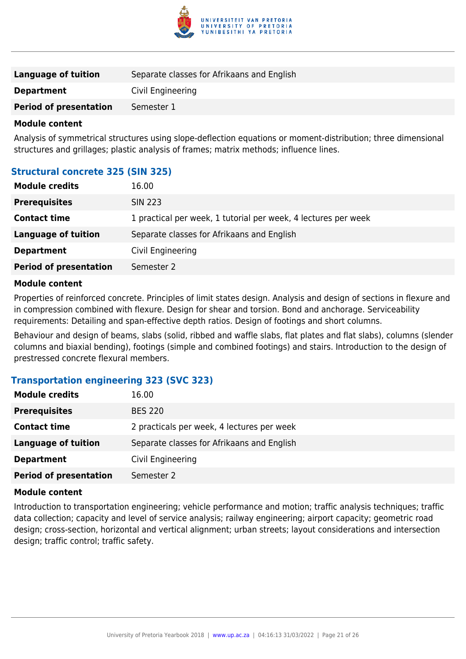

| Language of tuition           | Separate classes for Afrikaans and English |
|-------------------------------|--------------------------------------------|
| <b>Department</b>             | Civil Engineering                          |
| <b>Period of presentation</b> | Semester 1                                 |

Analysis of symmetrical structures using slope-deflection equations or moment-distribution; three dimensional structures and grillages; plastic analysis of frames; matrix methods; influence lines.

#### **Structural concrete 325 (SIN 325)**

| <b>Module credits</b>         | 16.00                                                          |
|-------------------------------|----------------------------------------------------------------|
| <b>Prerequisites</b>          | <b>SIN 223</b>                                                 |
| <b>Contact time</b>           | 1 practical per week, 1 tutorial per week, 4 lectures per week |
| Language of tuition           | Separate classes for Afrikaans and English                     |
| <b>Department</b>             | Civil Engineering                                              |
| <b>Period of presentation</b> | Semester 2                                                     |
|                               |                                                                |

#### **Module content**

Properties of reinforced concrete. Principles of limit states design. Analysis and design of sections in flexure and in compression combined with flexure. Design for shear and torsion. Bond and anchorage. Serviceability requirements: Detailing and span-effective depth ratios. Design of footings and short columns.

Behaviour and design of beams, slabs (solid, ribbed and waffle slabs, flat plates and flat slabs), columns (slender columns and biaxial bending), footings (simple and combined footings) and stairs. Introduction to the design of prestressed concrete flexural members.

#### **Transportation engineering 323 (SVC 323)**

| <b>Module credits</b>         | 16.00                                      |
|-------------------------------|--------------------------------------------|
| <b>Prerequisites</b>          | <b>BES 220</b>                             |
| <b>Contact time</b>           | 2 practicals per week, 4 lectures per week |
| <b>Language of tuition</b>    | Separate classes for Afrikaans and English |
| <b>Department</b>             | Civil Engineering                          |
| <b>Period of presentation</b> | Semester 2                                 |

#### **Module content**

Introduction to transportation engineering; vehicle performance and motion; traffic analysis techniques; traffic data collection; capacity and level of service analysis; railway engineering; airport capacity; geometric road design; cross-section, horizontal and vertical alignment; urban streets; layout considerations and intersection design; traffic control; traffic safety.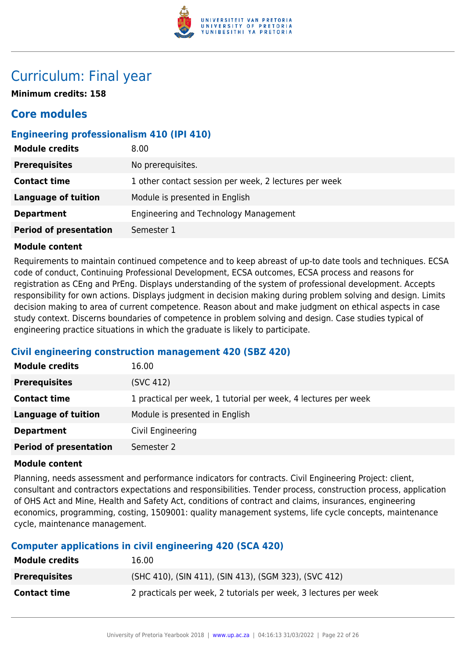

## Curriculum: Final year

**Minimum credits: 158**

## **Core modules**

## **Engineering professionalism 410 (IPI 410)**

| <b>Module credits</b>         | 8.00                                                  |
|-------------------------------|-------------------------------------------------------|
| <b>Prerequisites</b>          | No prerequisites.                                     |
| <b>Contact time</b>           | 1 other contact session per week, 2 lectures per week |
| <b>Language of tuition</b>    | Module is presented in English                        |
| <b>Department</b>             | Engineering and Technology Management                 |
| <b>Period of presentation</b> | Semester 1                                            |

#### **Module content**

Requirements to maintain continued competence and to keep abreast of up-to date tools and techniques. ECSA code of conduct, Continuing Professional Development, ECSA outcomes, ECSA process and reasons for registration as CEng and PrEng. Displays understanding of the system of professional development. Accepts responsibility for own actions. Displays judgment in decision making during problem solving and design. Limits decision making to area of current competence. Reason about and make judgment on ethical aspects in case study context. Discerns boundaries of competence in problem solving and design. Case studies typical of engineering practice situations in which the graduate is likely to participate.

## **Civil engineering construction management 420 (SBZ 420)**

| <b>Module credits</b>         | 16.00                                                          |
|-------------------------------|----------------------------------------------------------------|
| <b>Prerequisites</b>          | (SVC 412)                                                      |
| <b>Contact time</b>           | 1 practical per week, 1 tutorial per week, 4 lectures per week |
| <b>Language of tuition</b>    | Module is presented in English                                 |
| <b>Department</b>             | Civil Engineering                                              |
| <b>Period of presentation</b> | Semester 2                                                     |

#### **Module content**

Planning, needs assessment and performance indicators for contracts. Civil Engineering Project: client, consultant and contractors expectations and responsibilities. Tender process, construction process, application of OHS Act and Mine, Health and Safety Act, conditions of contract and claims, insurances, engineering economics, programming, costing, 1509001: quality management systems, life cycle concepts, maintenance cycle, maintenance management.

## **Computer applications in civil engineering 420 (SCA 420)**

| <b>Module credits</b> | 16.00                                                            |
|-----------------------|------------------------------------------------------------------|
| <b>Prerequisites</b>  | (SHC 410), (SIN 411), (SIN 413), (SGM 323), (SVC 412)            |
| <b>Contact time</b>   | 2 practicals per week, 2 tutorials per week, 3 lectures per week |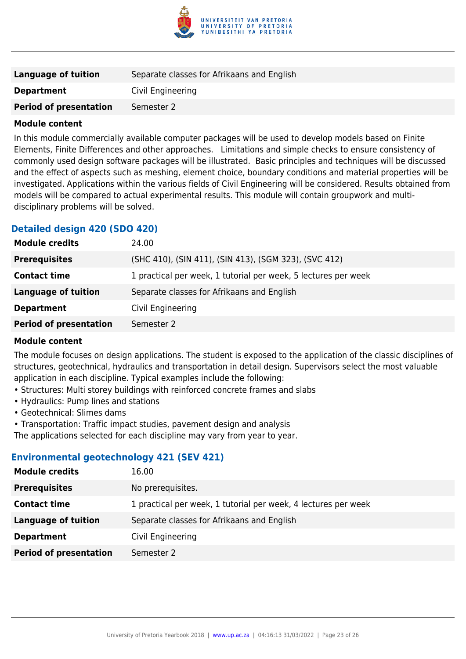

| Language of tuition           | Separate classes for Afrikaans and English |
|-------------------------------|--------------------------------------------|
| <b>Department</b>             | Civil Engineering                          |
| <b>Period of presentation</b> | Semester 2                                 |

In this module commercially available computer packages will be used to develop models based on Finite Elements, Finite Differences and other approaches. Limitations and simple checks to ensure consistency of commonly used design software packages will be illustrated. Basic principles and techniques will be discussed and the effect of aspects such as meshing, element choice, boundary conditions and material properties will be investigated. Applications within the various fields of Civil Engineering will be considered. Results obtained from models will be compared to actual experimental results. This module will contain groupwork and multidisciplinary problems will be solved.

## **Detailed design 420 (SDO 420)**

| <b>Module credits</b>         | 24.00                                                          |
|-------------------------------|----------------------------------------------------------------|
| <b>Prerequisites</b>          | (SHC 410), (SIN 411), (SIN 413), (SGM 323), (SVC 412)          |
| <b>Contact time</b>           | 1 practical per week, 1 tutorial per week, 5 lectures per week |
| <b>Language of tuition</b>    | Separate classes for Afrikaans and English                     |
| <b>Department</b>             | Civil Engineering                                              |
| <b>Period of presentation</b> | Semester 2                                                     |

#### **Module content**

The module focuses on design applications. The student is exposed to the application of the classic disciplines of structures, geotechnical, hydraulics and transportation in detail design. Supervisors select the most valuable application in each discipline. Typical examples include the following:

- Structures: Multi storey buildings with reinforced concrete frames and slabs
- Hydraulics: Pump lines and stations
- Geotechnical: Slimes dams
- Transportation: Traffic impact studies, pavement design and analysis

The applications selected for each discipline may vary from year to year.

## **Environmental geotechnology 421 (SEV 421)**

| <b>Module credits</b>         | 16.00                                                          |
|-------------------------------|----------------------------------------------------------------|
| <b>Prerequisites</b>          | No prerequisites.                                              |
| <b>Contact time</b>           | 1 practical per week, 1 tutorial per week, 4 lectures per week |
| Language of tuition           | Separate classes for Afrikaans and English                     |
| <b>Department</b>             | Civil Engineering                                              |
| <b>Period of presentation</b> | Semester 2                                                     |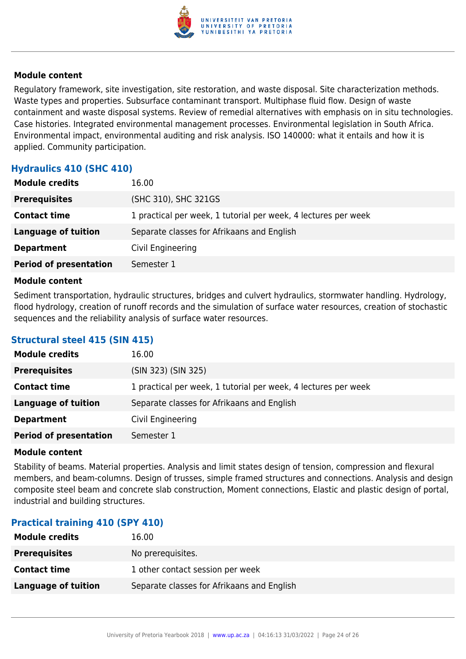

Regulatory framework, site investigation, site restoration, and waste disposal. Site characterization methods. Waste types and properties. Subsurface contaminant transport. Multiphase fluid flow. Design of waste containment and waste disposal systems. Review of remedial alternatives with emphasis on in situ technologies. Case histories. Integrated environmental management processes. Environmental legislation in South Africa. Environmental impact, environmental auditing and risk analysis. ISO 140000: what it entails and how it is applied. Community participation.

## **Hydraulics 410 (SHC 410)**

| <b>Module credits</b>         | 16.00                                                          |
|-------------------------------|----------------------------------------------------------------|
| <b>Prerequisites</b>          | (SHC 310), SHC 321GS                                           |
| <b>Contact time</b>           | 1 practical per week, 1 tutorial per week, 4 lectures per week |
| <b>Language of tuition</b>    | Separate classes for Afrikaans and English                     |
| <b>Department</b>             | Civil Engineering                                              |
| <b>Period of presentation</b> | Semester 1                                                     |

#### **Module content**

Sediment transportation, hydraulic structures, bridges and culvert hydraulics, stormwater handling. Hydrology, flood hydrology, creation of runoff records and the simulation of surface water resources, creation of stochastic sequences and the reliability analysis of surface water resources.

## **Structural steel 415 (SIN 415)**

| <b>Module credits</b>         | 16.00                                                          |
|-------------------------------|----------------------------------------------------------------|
| <b>Prerequisites</b>          | (SIN 323) (SIN 325)                                            |
| <b>Contact time</b>           | 1 practical per week, 1 tutorial per week, 4 lectures per week |
| <b>Language of tuition</b>    | Separate classes for Afrikaans and English                     |
| <b>Department</b>             | Civil Engineering                                              |
| <b>Period of presentation</b> | Semester 1                                                     |

#### **Module content**

Stability of beams. Material properties. Analysis and limit states design of tension, compression and flexural members, and beam-columns. Design of trusses, simple framed structures and connections. Analysis and design composite steel beam and concrete slab construction, Moment connections, Elastic and plastic design of portal, industrial and building structures.

## **Practical training 410 (SPY 410)**

| <b>Module credits</b> | 16.00                                      |
|-----------------------|--------------------------------------------|
| <b>Prerequisites</b>  | No prerequisites.                          |
| <b>Contact time</b>   | 1 other contact session per week           |
| Language of tuition   | Separate classes for Afrikaans and English |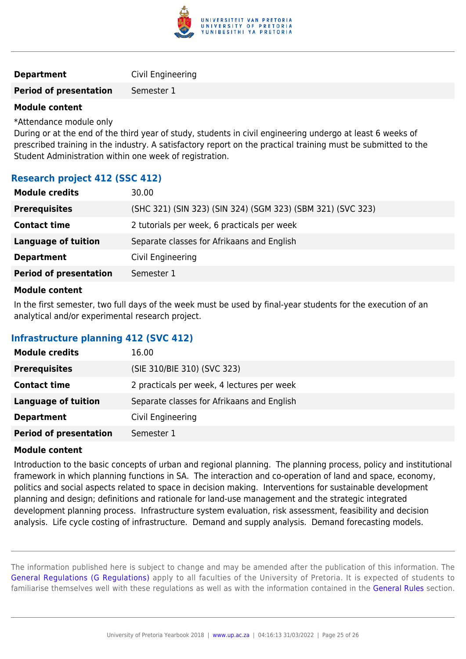

| Civil Engineering |
|-------------------|
|                   |

#### **Period of presentation** Semester 1

#### **Module content**

\*Attendance module only

During or at the end of the third year of study, students in civil engineering undergo at least 6 weeks of prescribed training in the industry. A satisfactory report on the practical training must be submitted to the Student Administration within one week of registration.

## **Research project 412 (SSC 412)**

| <b>Module credits</b>         | 30.00                                                       |
|-------------------------------|-------------------------------------------------------------|
| <b>Prerequisites</b>          | (SHC 321) (SIN 323) (SIN 324) (SGM 323) (SBM 321) (SVC 323) |
| <b>Contact time</b>           | 2 tutorials per week, 6 practicals per week                 |
| <b>Language of tuition</b>    | Separate classes for Afrikaans and English                  |
| <b>Department</b>             | Civil Engineering                                           |
| <b>Period of presentation</b> | Semester 1                                                  |
|                               |                                                             |

#### **Module content**

In the first semester, two full days of the week must be used by final-year students for the execution of an analytical and/or experimental research project.

## **Infrastructure planning 412 (SVC 412)**

| <b>Module credits</b>         | 16.00                                      |
|-------------------------------|--------------------------------------------|
| <b>Prerequisites</b>          | (SIE 310/BIE 310) (SVC 323)                |
| <b>Contact time</b>           | 2 practicals per week, 4 lectures per week |
| <b>Language of tuition</b>    | Separate classes for Afrikaans and English |
| <b>Department</b>             | Civil Engineering                          |
| <b>Period of presentation</b> | Semester 1                                 |

#### **Module content**

Introduction to the basic concepts of urban and regional planning. The planning process, policy and institutional framework in which planning functions in SA. The interaction and co-operation of land and space, economy, politics and social aspects related to space in decision making. Interventions for sustainable development planning and design; definitions and rationale for land-use management and the strategic integrated development planning process. Infrastructure system evaluation, risk assessment, feasibility and decision analysis. Life cycle costing of infrastructure. Demand and supply analysis. Demand forecasting models.

The information published here is subject to change and may be amended after the publication of this information. The [General Regulations \(G Regulations\)](https://www.up.ac.za/yearbooks/2018/rules/view/REG) apply to all faculties of the University of Pretoria. It is expected of students to familiarise themselves well with these regulations as well as with the information contained in the [General Rules](https://www.up.ac.za/yearbooks/2018/rules/view/RUL) section.